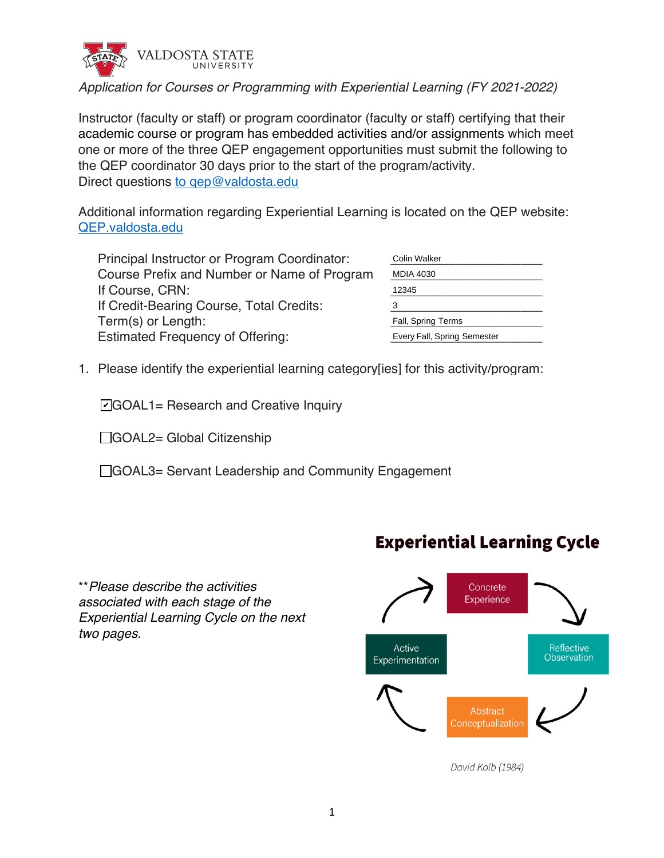

# *Application for Courses or Programming with Experiential Learning (FY 2021-2022)*

Instructor (faculty or staff) or program coordinator (faculty or staff) certifying that their academic course or program has embedded activities and/or assignments which meet one or more of the three QEP engagement opportunities must submit the following to the QEP coordinator 30 days prior to the start of the program/activity. Direct questions to gep@valdosta.edu

Additional information regarding Experiential Learning is located on the QEP website: QEP.valdosta.edu

Principal Instructor or Program Coordinator: Course Prefix and Number or Name of Program If Course, CRN: If Credit-Bearing Course, Total Credits: Term(s) or Length: Estimated Frequency of Offering:

| Colin Walker                |  |
|-----------------------------|--|
| <b>MDIA 4030</b>            |  |
| 12345                       |  |
| 3                           |  |
| <b>Fall, Spring Terms</b>   |  |
| Every Fall, Spring Semester |  |

1. Please identify the experiential learning category[ies] for this activity/program:

**☑GOAL1= Research and Creative Inquiry** 

□GOAL2= Global Citizenship

☐GOAL3= Servant Leadership and Community Engagement





David Kolb (1984)

# **Experiential Learning Cycle**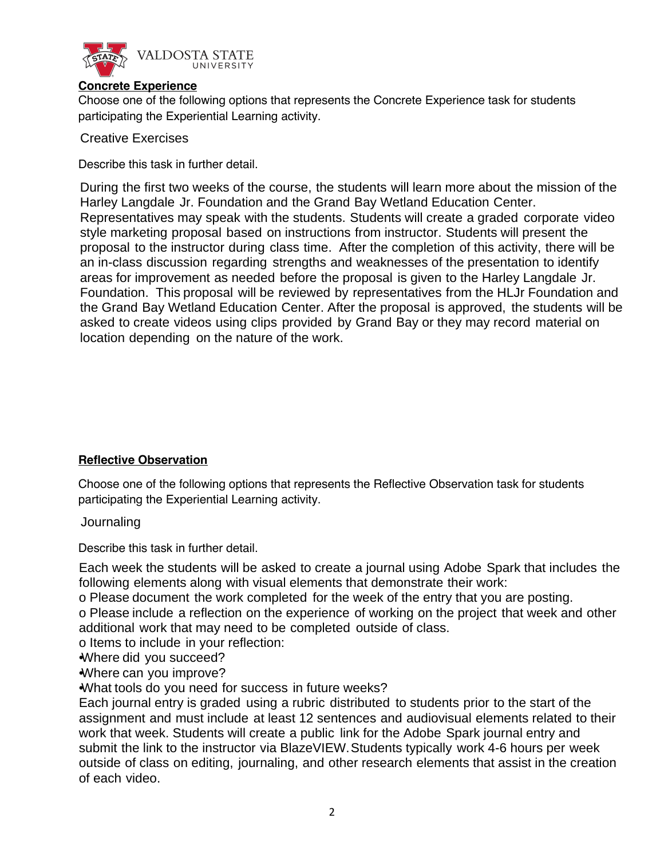

#### **Concrete Experience**

Choose one of the following options that represents the Concrete Experience task for students participating the Experiential Learning activity.

Creative Exercises

Describe this task in further detail.

During the first two weeks of the course, the students will learn more about the mission of the Harley Langdale Jr. Foundation and the Grand Bay Wetland Education Center. Representatives may speak with the students. Students will create a graded corporate video style marketing proposal based on instructions from instructor. Students will present the proposal to the instructor during class time. After the completion of this activity, there will be an in-class discussion regarding strengths and weaknesses of the presentation to identify areas for improvement as needed before the proposal is given to the Harley Langdale Jr. Foundation. This proposal will be reviewed by representatives from the HLJr Foundation and the Grand Bay Wetland Education Center. After the proposal is approved, the students will be asked to create videos using clips provided by Grand Bay or they may record material on location depending on the nature of the work.

## **Reflective Observation**

Choose one of the following options that represents the Reflective Observation task for students participating the Experiential Learning activity.

Journaling

Describe this task in further detail.

Each week the students will be asked to create a journal using Adobe Spark that includes the following elements along with visual elements that demonstrate their work:

o Please document the work completed for the week of the entry that you are posting.

o Please include a reflection on the experience of working on the project that week and other additional work that may need to be completed outside of class.

o Items to include in your reflection:

•Where did you succeed?

•Where can you improve?

•What tools do you need for success in future weeks?

Each journal entry is graded using a rubric distributed to students prior to the start of the assignment and must include at least 12 sentences and audiovisual elements related to their work that week. Students will create a public link for the Adobe Spark journal entry and submit the link to the instructor via BlazeVIEW. Students typically work 4-6 hours per week outside of class on editing, journaling, and other research elements that assist in the creation of each video.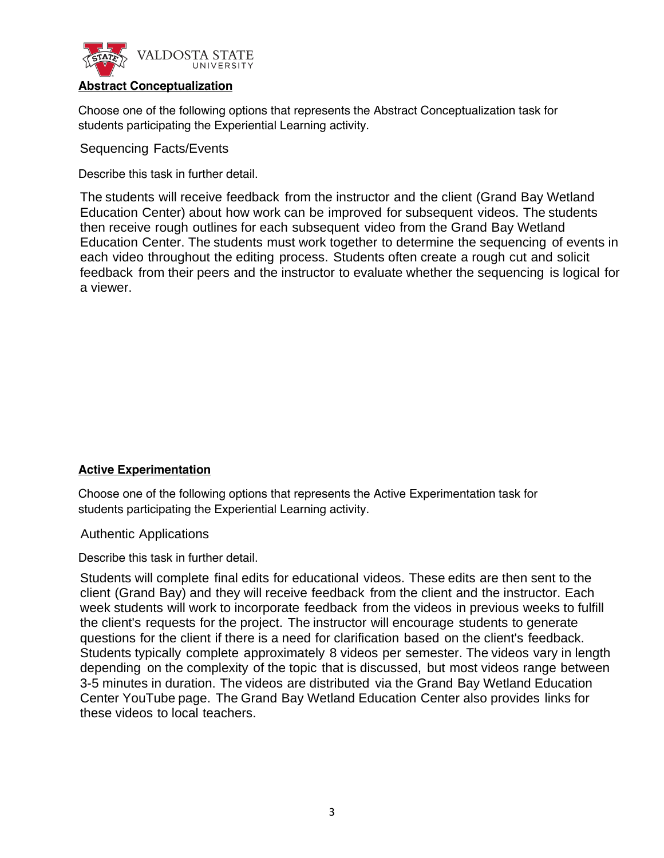

### **Abstract Conceptualization**

Choose one of the following options that represents the Abstract Conceptualization task for students participating the Experiential Learning activity.

Sequencing Facts/Events

Describe this task in further detail.

The students will receive feedback from the instructor and the client (Grand Bay Wetland Education Center) about how work can be improved for subsequent videos. The students then receive rough outlines for each subsequent video from the Grand Bay Wetland Education Center. The students must work together to determine the sequencing of events in each video throughout the editing process. Students often create a rough cut and solicit feedback from their peers and the instructor to evaluate whether the sequencing is logical for a viewer.

#### **Active Experimentation**

Choose one of the following options that represents the Active Experimentation task for students participating the Experiential Learning activity.

Authentic Applications

Describe this task in further detail.

Students will complete final edits for educational videos. These edits are then sent to the client (Grand Bay) and they will receive feedback from the client and the instructor. Each week students will work to incorporate feedback from the videos in previous weeks to fulfill the client's requests for the project. The instructor will encourage students to generate questions for the client if there is a need for clarification based on the client's feedback. Students typically complete approximately 8 videos per semester. The videos vary in length depending on the complexity of the topic that is discussed, but most videos range between 3-5 minutes in duration. The videos are distributed via the Grand Bay Wetland Education Center YouTube page. The Grand Bay Wetland Education Center also provides links for these videos to local teachers.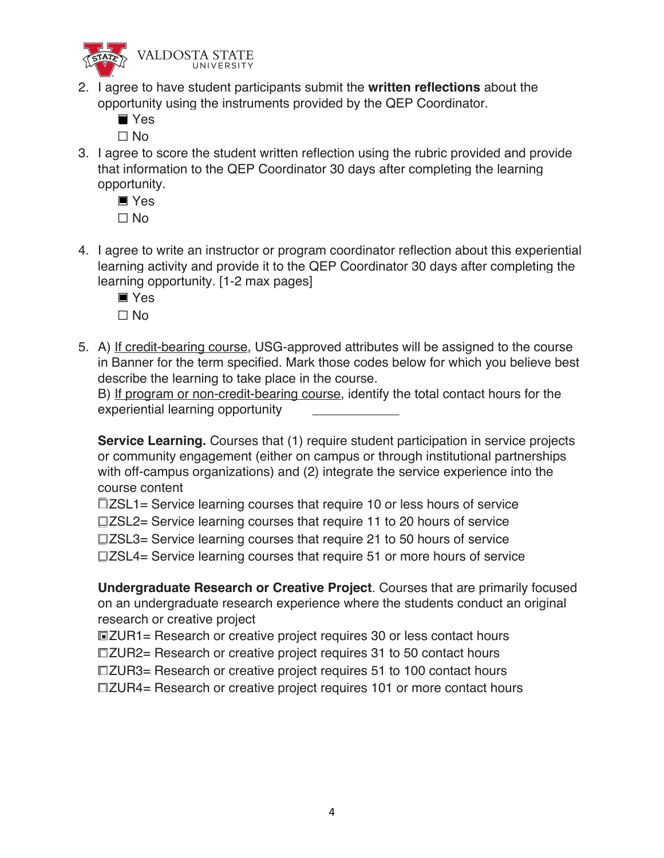

- 2. I agree to have student participants submit the **written reflections** about the opportunity using the instruments provided by the QEP Coordinator.
	- ☐ Yes ■

☐ No

3. I agree to score the student written reflection using the rubric provided and provide that information to the QEP Coordinator 30 days after completing the learning opportunity.

☐ Yes ☐ No

- 4. I agree to write an instructor or program coordinator reflection about this experiential learning activity and provide it to the QEP Coordinator 30 days after completing the learning opportunity. [1-2 max pages]
	- ☐ Yes
	- ☐ No
- 5. A) If credit-bearing course, USG-approved attributes will be assigned to the course in Banner for the term specified. Mark those codes below for which you believe best describe the learning to take place in the course.

B) If program or non-credit-bearing course, identify the total contact hours for the experiential learning opportunity

**Service Learning.** Courses that (1) require student participation in service projects or community engagement (either on campus or through institutional partnerships with off-campus organizations) and (2) integrate the service experience into the course content

☐ZSL1= Service learning courses that require 10 or less hours of service ☐ZSL2= Service learning courses that require 11 to 20 hours of service ☐ZSL3= Service learning courses that require 21 to 50 hours of service ☐ZSL4= Service learning courses that require 51 or more hours of service

**Undergraduate Research or Creative Project**. Courses that are primarily focused on an undergraduate research experience where the students conduct an original research or creative project

☐ZUR1= Research or creative project requires 30 or less contact hours ■

☐ZUR2= Research or creative project requires 31 to 50 contact hours

☐ZUR3= Research or creative project requires 51 to 100 contact hours

☐ZUR4= Research or creative project requires 101 or more contact hours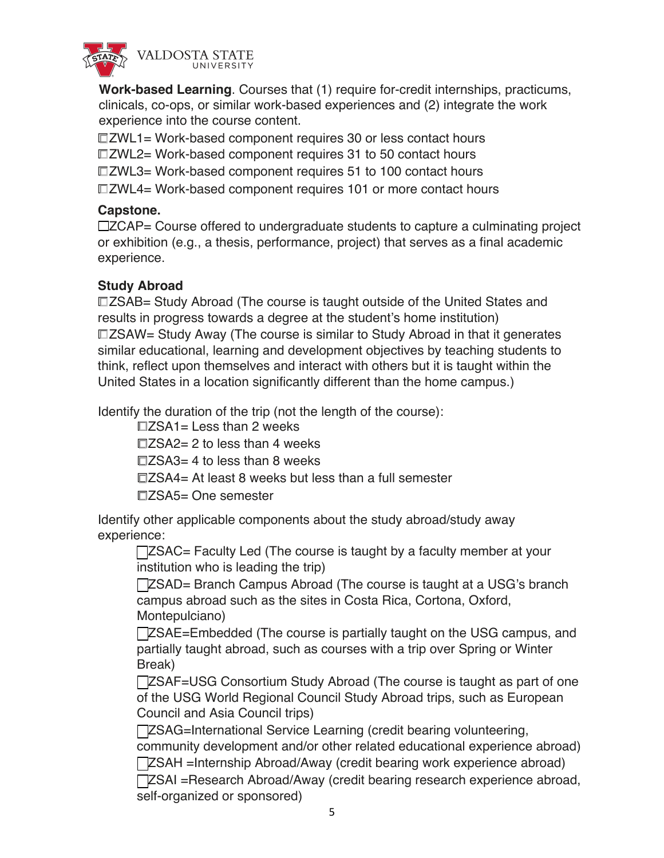

**Work-based Learning**. Courses that (1) require for-credit internships, practicums, clinicals, co-ops, or similar work-based experiences and (2) integrate the work experience into the course content.

☐ZWL2= Work-based component requires 31 to 50 contact hours ☐ZWL3= Work-based component requires 51 to 100 contact hours ☐ZWL4= Work-based component requires 101 or more contact hours ☐ZWL1= Work-based component requires 30 or less contact hours

## **Capstone.**

☐ZCAP= Course offered to undergraduate students to capture a culminating project or exhibition (e.g., a thesis, performance, project) that serves as a final academic experience.

## **Study Abroad**

☐ZSAB= Study Abroad (The course is taught outside of the United States and results in progress towards a degree at the student's home institution) ☐ZSAW= Study Away (The course is similar to Study Abroad in that it generates similar educational, learning and development objectives by teaching students to think, reflect upon themselves and interact with others but it is taught within the United States in a location significantly different than the home campus.)

Identify the duration of the trip (not the length of the course):

 $\square$ ZSA1= Less than 2 weeks

 $\square$ ZSA2= 2 to less than 4 weeks

 $\square$ ZSA3= 4 to less than 8 weeks

☐ZSA4= At least 8 weeks but less than a full semester

☐ZSA5= One semester

Identify other applicable components about the study abroad/study away experience:

□ZSAC= Faculty Led (The course is taught by a faculty member at your institution who is leading the trip)

☐ZSAD= Branch Campus Abroad (The course is taught at a USG's branch campus abroad such as the sites in Costa Rica, Cortona, Oxford, Montepulciano)

☐ZSAE=Embedded (The course is partially taught on the USG campus, and partially taught abroad, such as courses with a trip over Spring or Winter Break)

**□ZSAF=USG Consortium Study Abroad (The course is taught as part of one** of the USG World Regional Council Study Abroad trips, such as European Council and Asia Council trips)

☐ZSAG=International Service Learning (credit bearing volunteering, community development and/or other related educational experience abroad) ☐ZSAH =Internship Abroad/Away (credit bearing work experience abroad)

☐ZSAI =Research Abroad/Away (credit bearing research experience abroad, self-organized or sponsored)